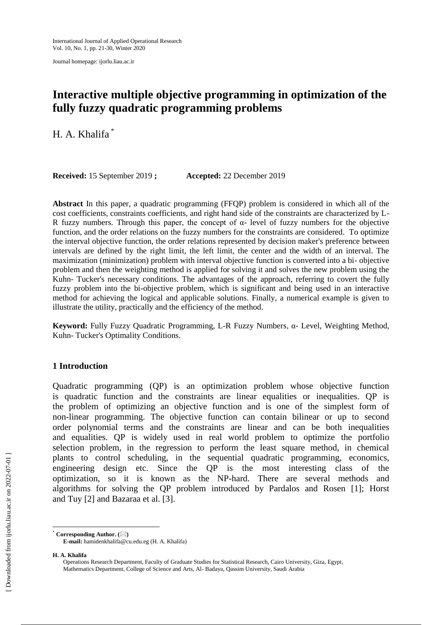Journal homepage: ijorlu.liau.ac.ir

# **Interactive multiple objective programming in optimization of the fully fuzzy quadratic programming problems**

H. A. Khalifa \*

**Received:** 15 September 2019 **; Accepted:** 22 December 2019

**Abstract** In this paper, a quadratic programming (FFQP) problem is considered in which all of the cost coefficients, constraints coefficients, and right hand side of the constraints are characterized by L-R fuzzy numbers. Through this paper, the concept of  $\alpha$ - level of fuzzy numbers for the objective function, and the order relations on the fuzzy numbers for the constraints are considered. To optimize the interval objective function, the order relations represented by decision maker's preference between intervals are defined by the right limit, the left limit, the center and the width of an interval. The maximization (minimization) problem with interval objective function is converted into a bi- objective problem and then the weighting method is applied for solving it and solves the new problem using the Kuhn- Tucker's necessary conditions. The advantages of the approach, referring to covert the fully fuzzy problem into the bi-objective problem, which is significant and being used in an interactive method for achieving the logical and applicable solutions. Finally, a numerical example is given to illustrate the utility, practically and the efficiency of the method.

**Keyword:** Fully Fuzzy Quadratic Programming, L-R Fuzzy Numbers, α- Level, Weighting Method, Kuhn- Tucker's Optimality Conditions.

# **1 Introduction**

Quadratic programming (QP) is an optimization problem whose objective function is quadratic function and the constraints are linear equalities or inequalities. QP is the problem of optimizing an objective function and is one of the simplest form of non-linear programming. The objective function can contain bilinear or up to second order polynomial terms and the constraints are linear and can be both inequalities and equalities. QP is widely used in real world problem to optimize the portfolio selection problem, in the regression to perform the least square method, in chemical plants to control scheduling, in the sequential quadratic programming, economics, engineering design etc. Since the QP is the most interesting class of the optimization, so it is known as the NP-hard. There are several methods and algorithms for solving the QP problem introduced by Pardalos and Rosen [1]; Horst and Tuy [2] and Bazaraa et al. [3].

 $^{\circ}$  Corresponding Author. ( $\boxtimes$ ) **E-mail:** hamidenkhalifa@cu.edu.eg (H. A. Khalifa)

**H. A. Khalifa**

 $\overline{a}$ 

Operations Research Department, Faculty of Graduate Studies for Statistical Research, Cairo University, Giza, Egypt, Mathematics Department, College of Science and Arts, Al- Badaya, Qassim University, Saudi Arabia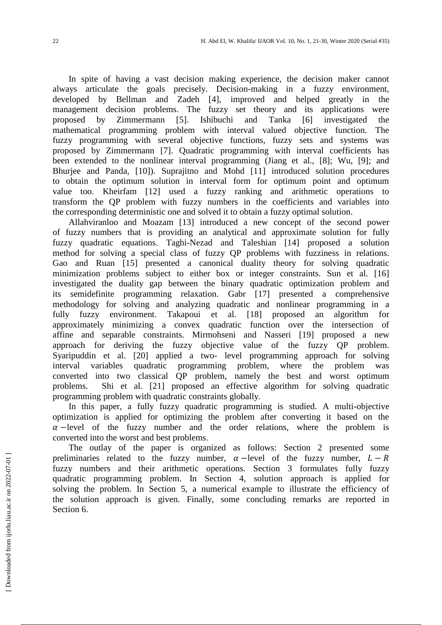In spite of having a vast decision making experience, the decision maker cannot always articulate the goals precisely. Decision-making in a fuzzy environment, developed by Bellman and Zadeh [4], improved and helped greatly in the management decision problems. The fuzzy set theory and its applications were proposed by Zimmermann [5]. Ishibuchi and Tanka [6] investigated the mathematical programming problem with interval valued objective function. The fuzzy programming with several objective functions, fuzzy sets and systems was proposed by Zimmermann [7]. Quadratic programming with interval coefficients has been extended to the nonlinear interval programming (Jiang et al., [8]; Wu, [9]; and Bhurjee and Panda, [10]). Suprajitno and Mohd [11] introduced solution procedures to obtain the optimum solution in interval form for optimum point and optimum value too. Kheirfam [12] used a fuzzy ranking and arithmetic operations to transform the QP problem with fuzzy numbers in the coefficients and variables into the corresponding deterministic one and solved it to obtain a fuzzy optimal solution.

Allahviranloo and Moazam [13] introduced a new concept of the second power of fuzzy numbers that is providing an analytical and approximate solution for fully fuzzy quadratic equations. Taghi-Nezad and Taleshian [14] proposed a solution method for solving a special class of fuzzy QP problems with fuzziness in relations. Gao and Ruan [15] presented a canonical duality theory for solving quadratic minimization problems subject to either box or integer constraints. Sun et al. [16] investigated the duality gap between the binary quadratic optimization problem and its semidefinite programming relaxation. Gabr [17] presented a comprehensive methodology for solving and analyzing quadratic and nonlinear programming in a fully fuzzy environment. Takapoui et al. [18] proposed an algorithm approximately minimizing a convex quadratic function over the intersection of affine and separable constraints. Mirmohseni and Nasseri [19] proposed a new approach for deriving the fuzzy objective value of the fuzzy QP problem. Syaripuddin et al. [20] applied a two- level programming approach for solving interval variables quadratic programming problem, where the problem was converted into two classical QP problem, namely the best and worst optimum problems. Shi et al. [21] proposed an effective algorithm for solving quadratic programming problem with quadratic constraints globally.

In this paper, a fully fuzzy quadratic programming is studied. A multi-objective optimization is applied for optimizing the problem after converting it based on the  $\alpha$  -level of the fuzzy number and the order relations, where the problem is converted into the worst and best problems.

The outlay of the paper is organized as follows: Section 2 presented some preliminaries related to the fuzzy number,  $\alpha$  -level of the fuzzy number,  $L - R$ fuzzy numbers and their arithmetic operations. Section 3 formulates fully fuzzy quadratic programming problem. In Section 4, solution approach is applied for solving the problem. In Section 5, a numerical example to illustrate the efficiency of the solution approach is given. Finally, some concluding remarks are reported in Section 6.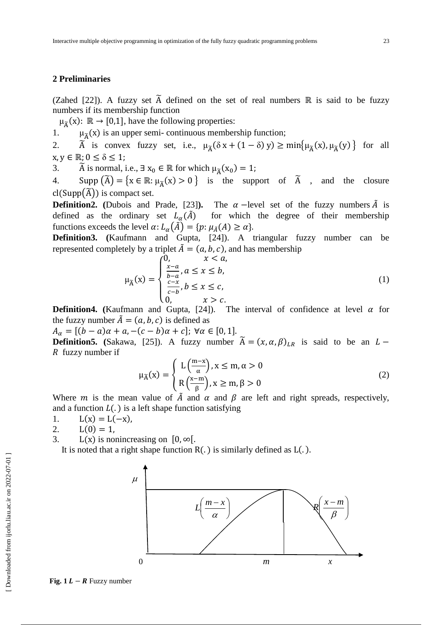# **2 Preliminaries**

(Zahed [22]). A fuzzy set  $\tilde{A}$  defined on the set of real numbers  $\mathbb R$  is said to be fuzzy numbers if its membership function

 $\mu_{\widetilde{A}}(x)$ :  $\mathbb{R} \to [0,1]$ , have the following properties:

1.  $\mu_{\tilde{A}}(x)$  is an upper semi- continuous membership function;

2.  $\tilde{A}$  is convex fuzzy set, i.e.,  $\mu_{\tilde{A}}(\delta x + (1 - \delta) y) \ge \min{\mu_{\tilde{A}}(x), \mu_{\tilde{A}}(y)}$  for all  $x, y \in \mathbb{R}$ ;  $0 \le \delta \le 1$ ;

3. Ã is normal, i.e.,  $\exists x_0 \in \mathbb{R}$  for which  $\mu_{\widetilde{A}}(x_0) =$ 

4. Supp  $(\widetilde{A}) = \{x \in \mathbb{R} : \mu_{\widetilde{A}}(x) > 0\}$  is the support of  $\widetilde{A}$ , and the closure  $cl(Supp(\widetilde{A}))$  is compact set.

**Definition2.** (Dubois and Prade, [23]). The  $\alpha$ -level set of the fuzzy numbers  $\tilde{A}$  is defined as the ordinary set  $L_{\alpha}(\tilde{A})$  for which the degree of their membership functions exceeds the level  $\alpha$ :  $L_{\alpha}(\tilde{A}) = \{ p : \mu_{\tilde{A}}(A) \ge \alpha \}.$ 

**Definition3. (**Kaufmann and Gupta, [24]). A triangular fuzzy number can be represented completely by a triplet  $\tilde{A} = (a, b, c)$ , and has membership

$$
\mu_{\widetilde{A}}(x) = \begin{cases}\n0, & x < a, \\
\frac{x-a}{b-a}, a \le x \le b, \\
\frac{c-x}{c-b}, b \le x \le c, \\
0, & x > c.\n\end{cases}
$$
\n(1)

**Definition4.** (Kaufmann and Gupta, [24]). The interval of confidence at level  $\alpha$  for the fuzzy number  $\tilde{A} = (a, b, c)$  is defined as

 $A_{\alpha} = [(b - a)\alpha + a, -(c - b)\alpha + c]; \forall \alpha \in [0, 1].$ **Definition5.** (Sakawa, [25]). A fuzzy number  $\widetilde{A} = (x, \alpha, \beta)_{LR}$  is said to be an  $R$  fuzzy number if

$$
\mu_{\widetilde{A}}(x) = \begin{cases} L\left(\frac{m-x}{\alpha}\right), x \le m, \alpha > 0\\ R\left(\frac{x-m}{\beta}\right), x \ge m, \beta > 0 \end{cases}
$$
(2)

Where m is the mean value of  $\hat{A}$  and  $\alpha$  and  $\beta$  are left and right spreads, respectively, and a function  $L(.)$  is a left shape function satisfying

1.  $L(x) = L(-x)$ ,

2.  $L(0) = 1$ ,

3.  $L(x)$  is nonincreasing on  $[0, \infty)$ .

It is noted that a right shape function  $R(.)$  is similarly defined as  $L(.)$ .



**Fig. 1**  $L - R$  Fuzzy number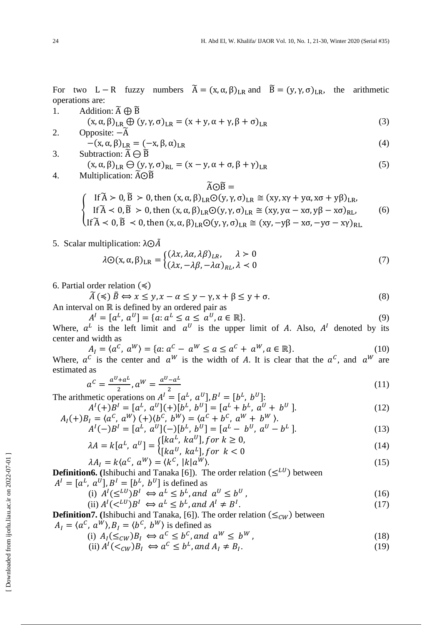(6)

For two L – R fuzzy numbers  $\tilde{A} = (x, \alpha, \beta)_{LR}$  and  $\tilde{B} = (y, \gamma, \sigma)_{LR}$ , the arithmetic operations are:

- 1. Addition:  $\widetilde{A} \oplus \widetilde{B}$  $(x, \alpha, \beta)_{LR} \oplus (y, \gamma, \sigma)_{LR} = (x + y, \alpha + \gamma, \beta + \sigma)_{LR}$  (3)
- 2. Opposite:  $-\tilde{A}$  $-(x, \alpha, \beta)_{LR} = (-x, \beta, \alpha)_{LR}$  (4)
- 3. Subtraction:  $\widetilde{A} \ominus \widetilde{B}$  $(x, \alpha, \beta)_{LR} \ominus (y, \gamma, \sigma)_{RL} = (x - y, \alpha + \sigma, \beta + \gamma)_{LR}$  (5) 4. Multiplication:  $\widetilde{A}\odot\widetilde{B}$ 
	- $\widetilde{A} \odot \widetilde{B} =$  $\langle$ If  $\widetilde{A} > 0$ ,  $\widetilde{B} > 0$ , then  $(x, \alpha, \beta)_{LR} \odot (y, \gamma, \sigma)_{LR} \cong (xy, xy + y\alpha, x\sigma + y\beta)_L$ If  $\widetilde{A}$  < 0,  $\widetilde{B}$  > 0, then  $(x, \alpha, \beta)_{LR}$   $\odot$   $(y, \gamma, \sigma)_{LR}$   $\cong$   $(xy, y\alpha - x\sigma, y\beta - x\sigma)_R$ If  $\widetilde{A}$  < 0,  $\widetilde{B}$  < 0, then  $(x, \alpha, \beta)_{LR}$   $\odot$   $(y, \gamma, \sigma)_{LR}$   $\cong$   $(xy, -y\beta - x\sigma, -y\sigma - x\gamma)_R$
- 5. Scalar multiplication:  $\lambda \odot \overline{A}$

$$
\lambda \odot (\mathbf{x}, \alpha, \beta)_{LR} = \begin{cases} (\lambda x, \lambda \alpha, \lambda \beta)_{LR}, & \lambda > 0 \\ (\lambda x, -\lambda \beta, -\lambda \alpha)_{RL}, & \lambda < 0 \end{cases}
$$
(7)

6. Partial order relation  $(\leq)$ 

$$
\widetilde{A}(\preccurlyeq) \widetilde{B} \Longleftrightarrow x \le y, x - \alpha \le y - \gamma, x + \beta \le y + \sigma. \tag{8}
$$

An interval on  $\mathbb R$  is defined by an ordered pair as

$$
A^{I} = [a^{L}, a^{U}] = \{a: a^{L} \le a \le a^{U}, a \in \mathbb{R}\}.
$$
\n(9)

Where,  $a^L$  is the left limit and  $a^U$  is the upper limit of A. Also,  $A^I$  denoted by its center and width as

$$
A_{I} = \langle a^{C}, a^{W} \rangle = \{a: a^{C} - a^{W} \le a \le a^{C} + a^{W}, a \in \mathbb{R}\}.
$$
 (10)

Where,  $a^c$  is the center and  $a^W$  is the width of A. It is clear that the  $a^c$ , and  $a^W$  are estimated as

$$
a^{C} = \frac{a^{U} + a^{L}}{2}, a^{W} = \frac{a^{U} - a^{L}}{2}
$$
 (11)

The arithmetic operations on  $A^I = [a^L, a^U], B^I = [b^L, b^U]$ :

$$
A^{I}(+)B^{I} = [a^{L}, a^{U}](+)[b^{L}, b^{U}] = [a^{L} + b^{L}, a^{U} + b^{U}].
$$
  
\n
$$
A_{I}(+)B_{I} = \langle a^{C}, a^{W} \rangle (+) \langle b^{C}, b^{W} \rangle = \langle a^{C} + b^{C}, a^{W} + b^{W} \rangle.
$$
\n(12)

$$
A^{I}(-)B^{I} = [a^{L}, a^{U}](-)[b^{L}, b^{U}] = [a^{L} - b^{U}, a^{U} - b^{L}].
$$
\n(13)

$$
\lambda A = k[a^L, a^U] = \begin{cases} \lfloor \kappa a^U, \kappa a^L \rfloor, \text{for } k \le 0, \\ \lfloor k a^U, \kappa a^L \rfloor, \text{for } k < 0 \end{cases} \tag{14}
$$

$$
\lambda A_I = k \langle a^C, a^W \rangle = \langle k^C, |k| a^W \rangle. \tag{15}
$$

**Definition6.** (Ishibuchi and Tanaka [6]). The order relation  $(\leq^{LU})$  between  $A^I = [a^L, a^U], B^I = [b^L, b^U]$  is defined as

(i) 
$$
A^I(\leq^{LU})B^I \Leftrightarrow a^L \leq b^L
$$
, and  $a^U \leq b^U$ , (16)

(ii) 
$$
A^I(<^{LU})B^I \Leftrightarrow a^L \leq b^L
$$
, and  $A^I \neq B^I$ . (17)

**Definition7.** (Ishibuchi and Tanaka, [6]). The order relation  $(\leq_{CW})$  between

$$
A_I = \langle a^C, a^W \rangle, B_I = \langle b^C, b^W \rangle \text{ is defined as}
$$

(i) 
$$
A_I(\leq_{CW})B_I \Leftrightarrow a^C \leq b^C
$$
, and  $a^W \leq b^W$ , (18)

(ii) 
$$
A^I(\langle \zeta_{CW} \rangle)B_I \iff a^C \leq b^L, \text{ and } A_I \neq B_I.
$$
 (19)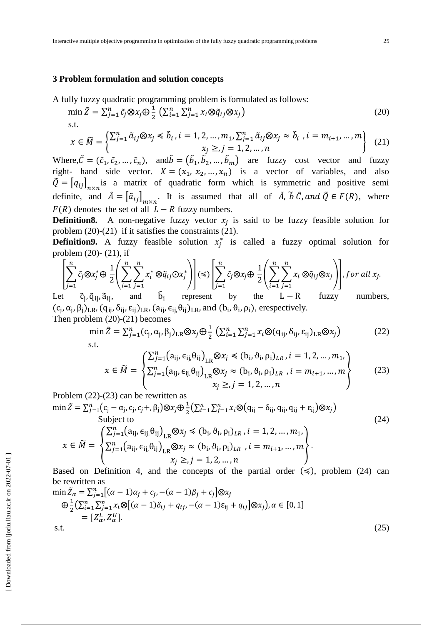## **3 Problem formulation and solution concepts**

A fully fuzzy quadratic programming problem is formulated as follows:

$$
\min \tilde{Z} = \sum_{j=1}^{n} \tilde{c}_j \otimes x_j \oplus \frac{1}{2} \left( \sum_{i=1}^{n} \sum_{j=1}^{n} x_i \otimes \tilde{q}_{ij} \otimes x_j \right)
$$
(20)

$$
x \in \widetilde{M} = \begin{cases} \sum_{j=1}^{n} \widetilde{a}_{ij} \otimes x_j \le \widetilde{b}_i, i = 1, 2, \dots, m_1, \sum_{j=1}^{n} \widetilde{a}_{ij} \otimes x_j \approx \widetilde{b}_i, i = m_{i+1}, \dots, m \\ x_i \ge j = 1, 2, \dots, n \end{cases}
$$
 (21)

Where,  $\tilde{C} = (\tilde{c}_1, \tilde{c}_2, ..., \tilde{c}_n)$ , and  $\tilde{b} = (\tilde{b}_1, \tilde{b}_2, ..., \tilde{b}_m)$  are fuzzy cost vector and fuzzy right- hand side vector.  $X = (x_1, x_2, ..., x_n)$  is a vector of variables, and also  $\tilde{Q} = [q_{ij}]_{n \times n}$  is a matrix of quadratic form which is symmetric and positive semi definite, and  $\tilde{A} = [\tilde{a}_{ij}]_{m \times n}$ . It is assumed that all of  $\tilde{A}$ ,  $\tilde{b}$   $\tilde{C}$ , and  $\tilde{Q} \in F(R)$ , where  $F(R)$  denotes the set of all  $L - R$  fuzzy numbers.

**Definition8.** A non-negative fuzzy vector  $x_i$  is said to be fuzzy feasible solution for problem (20)-(21) if it satisfies the constraints (21).

**Definition9.** A fuzzy feasible solution  $x_i^*$  is called a fuzzy optimal solution for problem (20)- (21), if

$$
\left[\sum_{j=1}^{n} \tilde{c}_{j} \otimes x_{j}^{*} \oplus \frac{1}{2} \left( \sum_{i=1}^{n} \sum_{j=1}^{n} x_{i}^{*} \otimes \tilde{q}_{ij} \odot x_{j}^{*} \right) \right] (\leqslant) \left[\sum_{j=1}^{n} \tilde{c}_{j} \otimes x_{j} \oplus \frac{1}{2} \left( \sum_{i=1}^{n} \sum_{j=1}^{n} x_{i} \otimes \tilde{q}_{ij} \otimes x_{j} \right) \right], for all x_{j}.
$$
\n
$$
\text{for all } x_{j}.
$$
\n
$$
\tilde{c}_{i}, \tilde{c}_{i}, \tilde{c}_{i}, \tilde{a}_{i}, \text{ and } \tilde{b}_{i} \text{ represent by the L-R fuzzy numbers.}
$$

Le c<sub>j</sub>, q<sub>ij</sub>, a<sub>ij</sub>,  $D_i$ numbers,  $(c_j, \alpha_j, \beta_j)_{LR}$ ,  $(q_{ij}, \delta_{ij}, \epsilon_{ij})_{LR}$ ,  $(a_{ij}, \epsilon_{ij}, \theta_{ij})_{LR}$ , and  $(b_i, \theta_i, \rho_i)$ , erespectively. Then problem (20)-(21) becomes

$$
\min \tilde{Z} = \sum_{j=1}^{n} (c_j, \alpha_j, \beta_j)_{LR} \otimes x_j \oplus \frac{1}{2} \left( \sum_{i=1}^{n} \sum_{j=1}^{n} x_i \otimes (q_{ij}, \delta_{ij}, \varepsilon_{ij})_{LR} \otimes x_j \right)
$$
(22)

$$
x \in \widetilde{M} = \begin{cases} \sum_{j=1}^{n} (a_{ij}, \epsilon_{ij}, \theta_{ij})_{LR} \otimes x_j \preccurlyeq (b_i, \theta_i, \rho_i)_{LR}, i = 1, 2, ..., m_1, \\ \sum_{j=1}^{n} (a_{ij}, \epsilon_{ij}, \theta_{ij})_{LR} \otimes x_j \simeq (b_i, \theta_i, \rho_i)_{LR}, i = m_{i+1}, ..., m \\ x_j \geq j = 1, 2, ..., n \end{cases}
$$
(23)

Problem (22)-(23) can be rewritten as

$$
\min \tilde{Z} = \sum_{j=1}^{n} (c_j - \alpha_j, c_j, c_j + \beta_j) \otimes x_j \oplus \frac{1}{2} \left( \sum_{i=1}^{n} \sum_{j=1}^{n} x_i \otimes (q_{ij} - \delta_{ij}, q_{ij}, q_{ij} + \varepsilon_{ij}) \otimes x_j \right)
$$
  
Subject to  

$$
x \in \tilde{M} = \begin{cases} \sum_{j=1}^{n} (a_{ij}, \epsilon_{ij}, \theta_{ij})_{LR} \otimes x_j \preccurlyeq (b_i, \theta_i, \rho_i)_{LR}, i = 1, 2, ..., m_1, \\ \sum_{j=1}^{n} (a_{ij}, \epsilon_{ij}, \theta_{ij})_{LR} \otimes x_j \preccurlyeq (b_i, \theta_i, \rho_i)_{LR}, i = m_{i+1}, ..., m \\ x_j \geq j = 1, 2, ..., n \end{cases}
$$
(24)

Based on Definition 4, and the concepts of the partial order  $(\leq)$ , problem (24) can be rewritten as

$$
\min \tilde{Z}_{\alpha} = \sum_{j=1}^{n} \left[ (\alpha - 1)\alpha_{j} + c_{j}, -(\alpha - 1)\beta_{j} + c_{j} \right] \otimes x_{j}
$$
\n
$$
\bigoplus_{j=1}^{n} \left( \sum_{i=1}^{n} \sum_{j=1}^{n} x_{i} \otimes \left[ (\alpha - 1)\delta_{ij} + q_{ij}, -(\alpha - 1)\epsilon_{ij} + q_{ij} \right] \otimes x_{j} \right), \alpha \in [0, 1]
$$
\n
$$
= \left[ Z_{\alpha}^{L}, Z_{\alpha}^{U} \right].
$$
\ns.t.

\n
$$
(25)
$$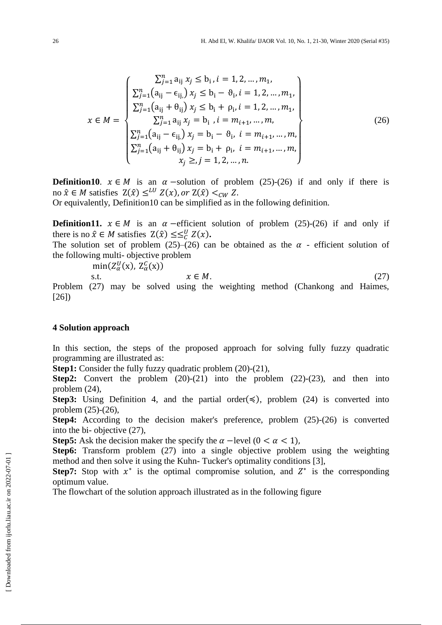$$
x \in M = \begin{cases} \sum_{j=1}^{n} a_{ij} x_{j} \leq b_{i}, i = 1, 2, ..., m_{1}, \\ \sum_{j=1}^{n} (a_{ij} - \epsilon_{ij}) x_{j} \leq b_{i} - \vartheta_{i}, i = 1, 2, ..., m_{1}, \\ \sum_{j=1}^{n} (a_{ij} + \theta_{ij}) x_{j} \leq b_{i} + \rho_{i}, i = 1, 2, ..., m_{1}, \\ \sum_{j=1}^{n} a_{ij} x_{j} = b_{i}, i = m_{i+1}, ..., m, \\ \sum_{j=1}^{n} (a_{ij} - \epsilon_{ij}) x_{j} = b_{i} - \vartheta_{i}, i = m_{i+1}, ..., m, \\ \sum_{j=1}^{n} (a_{ij} + \vartheta_{ij}) x_{j} = b_{i} + \rho_{i}, i = m_{i+1}, ..., m, \\ x_{j} \geq j = 1, 2, ..., n. \end{cases}
$$
\n(26)

**Definition10.**  $x \in M$  is an  $\alpha$ -solution of problem (25)-(26) if and only if there is no  $\hat{x} \in M$  satisfies  $Z(\hat{x}) \leq^{LU} Z(x)$ , or  $Z(\hat{x}) <_{CW} Z$ .

Or equivalently, Definition10 can be simplified as in the following definition.

**Definition11.**  $x \in M$  is an  $\alpha$ -efficient solution of problem (25)-(26) if and only if there is no  $\hat{x} \in M$  satisfies  $Z(\hat{x}) \leq \leq^U_C Z(x)$ .

The solution set of problem (25)–(26) can be obtained as the  $\alpha$  - efficient solution of the following multi- objective problem

 $min(Z_{\alpha}^{U}(x), Z_{\alpha}^{C}(x))$ 

$$
x \in M. \tag{27}
$$

Problem (27) may be solved using the weighting method (Chankong and Haimes, [26])

#### **4 Solution approach**

In this section, the steps of the proposed approach for solving fully fuzzy quadratic programming are illustrated as:

**Step1:** Consider the fully fuzzy quadratic problem (20)-(21),

**Step2:** Convert the problem (20)-(21) into the problem (22)-(23), and then into problem (24),

**Step3:** Using Definition 4, and the partial order( $\leq$ ), problem (24) is converted into problem (25)-(26),

**Step4:** According to the decision maker's preference, problem (25)-(26) is converted into the bi- objective (27),

**Step5:** Ask the decision maker the specify the  $\alpha$  -level ( $0 < \alpha < 1$ ),

**Step6:** Transform problem (27) into a single objective problem using the weighting method and then solve it using the Kuhn- Tucker's optimality conditions [3],

**Step7:** Stop with  $x^*$  is the optimal compromise solution, and  $Z^*$  is the corresponding optimum value.

The flowchart of the solution approach illustrated as in the following figure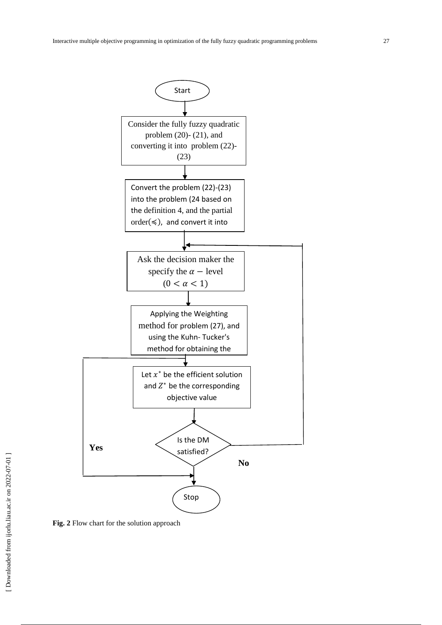



**Fig. 2** Flow chart for the solution approach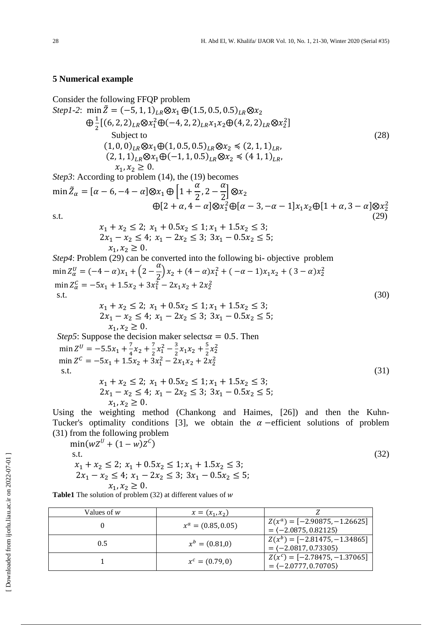# **5 Numerical example**

Consider the following FFQP problem  
\nStep1-2: min 
$$
\tilde{Z} = (-5, 1, 1)_{LR} \otimes x_1 \oplus (1.5, 0.5, 0.5)_{LR} \otimes x_2
$$
  
\n
$$
\oplus \frac{1}{2} [(6, 2, 2)_{LR} \otimes x_1^2 \oplus (-4, 2, 2)_{LR} x_1 x_2 \oplus (4, 2, 2)_{LR} \otimes x_2^2]
$$
\nsubject to  
\n
$$
(1, 0, 0)_{LR} \otimes x_1 \oplus (1, 0.5, 0.5)_{LR} \otimes x_2 \le (2, 1, 1)_{LR},
$$
\n
$$
(2, 1, 1)_{LR} \otimes x_1 \oplus (-1, 1, 0.5)_{LR} \otimes x_2 \le (4, 1, 1)_{LR},
$$
\n
$$
x_1, x_2 \ge 0.
$$
\nStep3: According to problem (14), the (19) becomes  
\n
$$
\min \tilde{Z}_{\alpha} = [\alpha - 6, -4 - \alpha] \otimes x_1 \oplus [1 + \frac{\alpha}{2}, 2 - \frac{\alpha}{2}] \otimes x_2
$$
\n(29)

 $\bigoplus [2+\alpha, 4-\alpha] \otimes x_1^2 \bigoplus [\alpha-3, -\alpha-1] x_1 x_2 \bigoplus [1+\alpha, 3-\alpha] \otimes x_2^2$ 

 $s.t.$  (29)

$$
x_1 + x_2 \le 2; \ x_1 + 0.5x_2 \le 1; \ x_1 + 1.5x_2 \le 3; 2x_1 - x_2 \le 4; \ x_1 - 2x_2 \le 3; \ 3x_1 - 0.5x_2 \le 5; x_1, x_2 \ge 0.
$$

*Step4*: Problem (29) can be converted into the following bi-objective problem  $\min Z_{\alpha}^{U} = (-4 - \alpha)x_1 + (2 - \frac{\alpha}{2})$  $\left(\frac{\alpha}{2}\right)x_2 + (4-\alpha)x_1^2 + (-\alpha-1)x_1x_2 + (3-\alpha)x_2^2$  $\min Z_{\alpha}^C = -5x_1 + 1.5x_2 + 3x_1^2 - 2x_1x_2 + 2x_2^2$  $s.t.$  (30)  $\overline{c}$ 

 $x_1, x_2 \geq 0.$ *Step5*: Suppose the decision maker selects $\alpha = 0.5$ . Then  $U = -55x + \frac{7}{2}$  $\frac{7}{4}x_2 + \frac{7}{2}$  $\frac{7}{2}x_1^2-\frac{3}{2}$  $\frac{3}{2}x_1x_2+\frac{5}{2}$  $\frac{5}{2}x_2^2$  $c = 5r + 15r + 3r^2 - 2r$ ,  $r = 2r^2$  s.t. (31)  $2x_1 - x_2 \le 4$ ;  $x_1 - 2x_2 \le 3$ ;  $3x_1 - 0.5x_2 \le 5$ ;

 $x_1, x_2 \geq 0.$ Using the weighting method (Chankong and Haimes, [26]) and then the Kuhn-Tucker's optimality conditions [3], we obtain the  $\alpha$  -efficient solutions of problem (31) from the following problem

$$
\min(wZ^{U} + (1 - w)Z^{C})
$$
  
s.t.  

$$
x_{1} + x_{2} \leq 2; x_{1} + 0.5x_{2} \leq 1; x_{1} + 1.5x_{2} \leq 3;
$$
  

$$
2x_{1} - x_{2} \leq 4; x_{1} - 2x_{2} \leq 3; 3x_{1} - 0.5x_{2} \leq 5;
$$
  

$$
x_{1}, x_{2} \geq 0.
$$
  
able1 The solution of problem (32) at different values of w

**Table1** The solution of problem (32) at different values of

| Values of $w$ | $x = (x_1, x_2)$     |                                                           |
|---------------|----------------------|-----------------------------------------------------------|
|               | $x^a = (0.85, 0.05)$ | $Z(x^a) = [-2.90875, -1.26625]$<br>$= (-2.0875, 0.82125)$ |
| 0.5           | $x^b = (0.81,0)$     | $Z(x^b) = [-2.81475, -1.34865]$<br>$= (-2.0817, 0.73305)$ |
|               | $x^c = (0.79, 0)$    | $Z(x^c) = [-2.78475, -1.37065]$<br>$= (-2.0777, 0.70705)$ |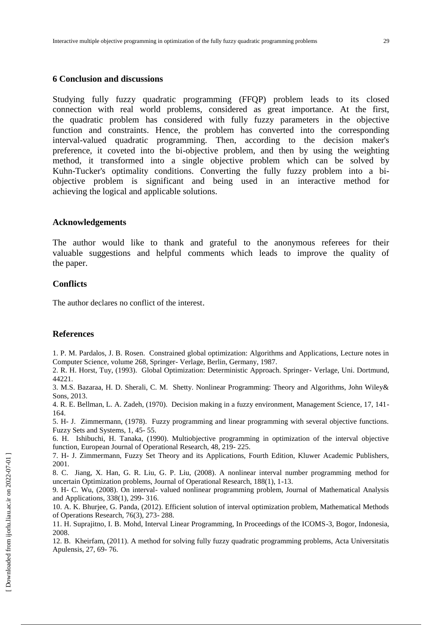### **6 Conclusion and discussions**

Studying fully fuzzy quadratic programming (FFQP) problem leads to its closed connection with real world problems, considered as great importance. At the first, the quadratic problem has considered with fully fuzzy parameters in the objective function and constraints. Hence, the problem has converted into the corresponding interval-valued quadratic programming. Then, according to the decision maker's preference, it coveted into the bi-objective problem, and then by using the weighting method, it transformed into a single objective problem which can be solved by Kuhn-Tucker's optimality conditions. Converting the fully fuzzy problem into a biobjective problem is significant and being used in an interactive method for achieving the logical and applicable solutions.

## **Acknowledgements**

The author would like to thank and grateful to the anonymous referees for their valuable suggestions and helpful comments which leads to improve the quality of the paper.

### **Conflicts**

The author declares no conflict of the interest.

# **References**

1. P. M. Pardalos, J. B. Rosen. Constrained global optimization: Algorithms and Applications, Lecture notes in Computer Science, volume 268, Springer- Verlage, Berlin, Germany, 1987.

2. R. H. Horst, Tuy, (1993). Global Optimization: Deterministic Approach. Springer- Verlage, Uni. Dortmund, 44221.

3. M.S. Bazaraa, H. D. Sherali, C. M. Shetty. Nonlinear Programming: Theory and Algorithms, John Wiley& Sons, 2013.

4. R. E. Bellman, L. A. Zadeh, (1970). Decision making in a fuzzy environment, Management Science, 17, 141- 164.

5. H- J. Zimmermann, (1978). Fuzzy programming and linear programming with several objective functions. Fuzzy Sets and Systems, 1, 45- 55.

6. H. Ishibuchi, H. Tanaka, (1990). Multiobjective programming in optimization of the interval objective function, European Journal of Operational Research, 48, 219- 225.

7. H- J. Zimmermann, Fuzzy Set Theory and its Applications, Fourth Edition, Kluwer Academic Publishers, 2001.

8. C. Jiang, X. Han, G. R. Liu, G. P. Liu, (2008). A nonlinear interval number programming method for uncertain Optimization problems, Journal of Operational Research, 188(1), 1-13.

9. H- C. Wu, (2008). On interval- valued nonlinear programming problem, Journal of Mathematical Analysis and Applications, 338(1), 299- 316.

10. A. K. Bhurjee, G. Panda, (2012). Efficient solution of interval optimization problem, Mathematical Methods of Operations Research, 76(3), 273- 288.

11. H. Suprajitno, I. B. Mohd, Interval Linear Programming, In Proceedings of the ICOMS-3, Bogor, Indonesia, 2008.

12. B. Kheirfam, (2011). A method for solving fully fuzzy quadratic programming problems, Acta Universitatis Apulensis, 27, 69- 76.